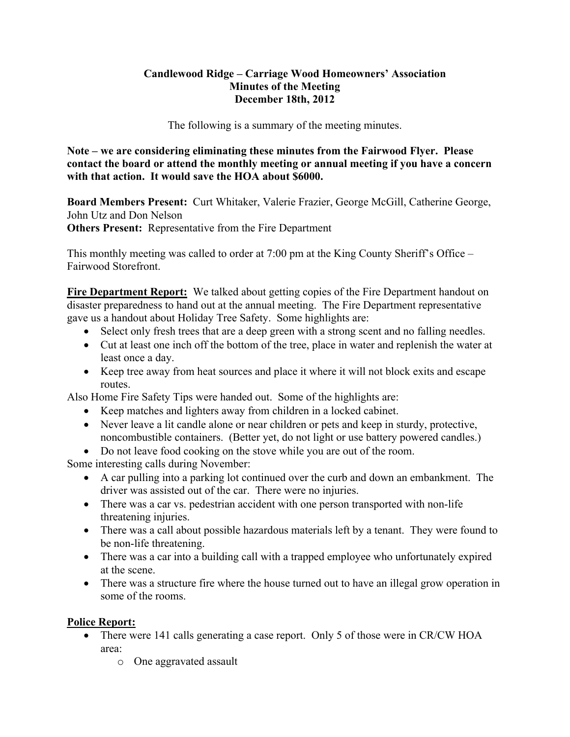### **Candlewood Ridge – Carriage Wood Homeowners' Association Minutes of the Meeting December 18th, 2012**

The following is a summary of the meeting minutes.

**Note – we are considering eliminating these minutes from the Fairwood Flyer. Please contact the board or attend the monthly meeting or annual meeting if you have a concern with that action. It would save the HOA about \$6000.** 

**Board Members Present:** Curt Whitaker, Valerie Frazier, George McGill, Catherine George, John Utz and Don Nelson **Others Present:** Representative from the Fire Department

This monthly meeting was called to order at 7:00 pm at the King County Sheriff's Office – Fairwood Storefront.

**Fire Department Report:** We talked about getting copies of the Fire Department handout on disaster preparedness to hand out at the annual meeting. The Fire Department representative gave us a handout about Holiday Tree Safety. Some highlights are:

- Select only fresh trees that are a deep green with a strong scent and no falling needles.
- Cut at least one inch off the bottom of the tree, place in water and replenish the water at least once a day.
- Keep tree away from heat sources and place it where it will not block exits and escape routes.

Also Home Fire Safety Tips were handed out. Some of the highlights are:

- Keep matches and lighters away from children in a locked cabinet.
- Never leave a lit candle alone or near children or pets and keep in sturdy, protective, noncombustible containers. (Better yet, do not light or use battery powered candles.)
- Do not leave food cooking on the stove while you are out of the room.

Some interesting calls during November:

- A car pulling into a parking lot continued over the curb and down an embankment. The driver was assisted out of the car. There were no injuries.
- There was a car vs. pedestrian accident with one person transported with non-life threatening injuries.
- There was a call about possible hazardous materials left by a tenant. They were found to be non-life threatening.
- There was a car into a building call with a trapped employee who unfortunately expired at the scene.
- There was a structure fire where the house turned out to have an illegal grow operation in some of the rooms.

# **Police Report:**

- There were 141 calls generating a case report. Only 5 of those were in CR/CW HOA area:
	- o One aggravated assault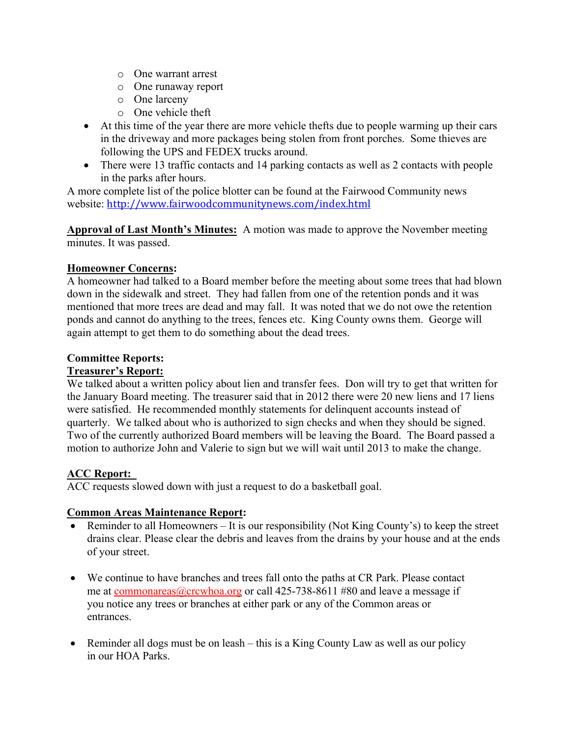- o One warrant arrest
- o One runaway report
- o One larceny
- o One vehicle theft
- At this time of the year there are more vehicle thefts due to people warming up their cars in the driveway and more packages being stolen from front porches. Some thieves are following the UPS and FEDEX trucks around.
- There were 13 traffic contacts and 14 parking contacts as well as 2 contacts with people in the parks after hours.

A more complete list of the police blotter can be found at the Fairwood Community news website: http://www.fairwoodcommunitynews.com/index.html

**Approval of Last Month's Minutes:** A motion was made to approve the November meeting minutes. It was passed.

# **Homeowner Concerns:**

A homeowner had talked to a Board member before the meeting about some trees that had blown down in the sidewalk and street. They had fallen from one of the retention ponds and it was mentioned that more trees are dead and may fall. It was noted that we do not owe the retention ponds and cannot do anything to the trees, fences etc. King County owns them. George will again attempt to get them to do something about the dead trees.

## **Committee Reports:**

## **Treasurer's Report:**

We talked about a written policy about lien and transfer fees. Don will try to get that written for the January Board meeting. The treasurer said that in 2012 there were 20 new liens and 17 liens were satisfied. He recommended monthly statements for delinquent accounts instead of quarterly. We talked about who is authorized to sign checks and when they should be signed. Two of the currently authorized Board members will be leaving the Board. The Board passed a motion to authorize John and Valerie to sign but we will wait until 2013 to make the change.

# **ACC Report:**

ACC requests slowed down with just a request to do a basketball goal.

## **Common Areas Maintenance Report:**

- Reminder to all Homeowners It is our responsibility (Not King County's) to keep the street drains clear. Please clear the debris and leaves from the drains by your house and at the ends of your street.
- We continue to have branches and trees fall onto the paths at CR Park. Please contact me at commonareas@crcwhoa.org or call 425-738-8611 #80 and leave a message if you notice any trees or branches at either park or any of the Common areas or entrances.
- Reminder all dogs must be on leash this is a King County Law as well as our policy in our HOA Parks.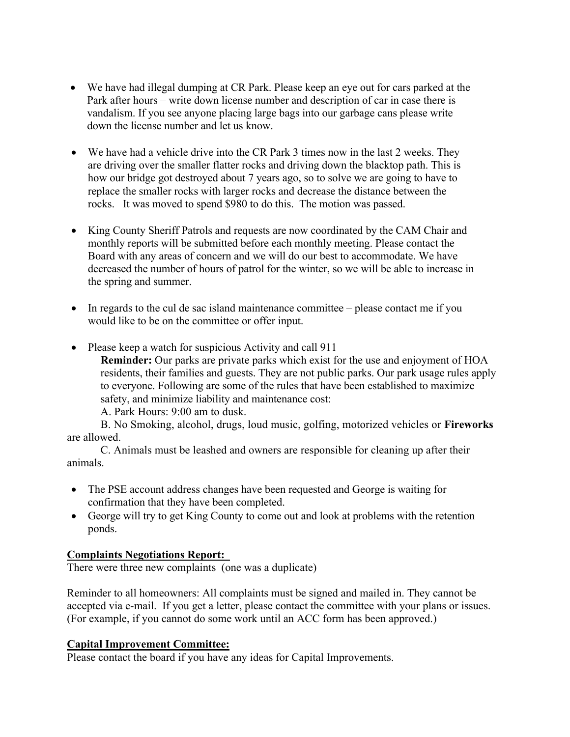- We have had illegal dumping at CR Park. Please keep an eye out for cars parked at the Park after hours – write down license number and description of car in case there is vandalism. If you see anyone placing large bags into our garbage cans please write down the license number and let us know.
- We have had a vehicle drive into the CR Park 3 times now in the last 2 weeks. They are driving over the smaller flatter rocks and driving down the blacktop path. This is how our bridge got destroyed about 7 years ago, so to solve we are going to have to replace the smaller rocks with larger rocks and decrease the distance between the rocks. It was moved to spend \$980 to do this. The motion was passed.
- King County Sheriff Patrols and requests are now coordinated by the CAM Chair and monthly reports will be submitted before each monthly meeting. Please contact the Board with any areas of concern and we will do our best to accommodate. We have decreased the number of hours of patrol for the winter, so we will be able to increase in the spring and summer.
- In regards to the cul de sac island maintenance committee please contact me if you would like to be on the committee or offer input.
- Please keep a watch for suspicious Activity and call 911

**Reminder:** Our parks are private parks which exist for the use and enjoyment of HOA residents, their families and guests. They are not public parks. Our park usage rules apply to everyone. Following are some of the rules that have been established to maximize safety, and minimize liability and maintenance cost:

A. Park Hours: 9:00 am to dusk.

B. No Smoking, alcohol, drugs, loud music, golfing, motorized vehicles or **Fireworks**  are allowed.

C. Animals must be leashed and owners are responsible for cleaning up after their animals.

- The PSE account address changes have been requested and George is waiting for confirmation that they have been completed.
- George will try to get King County to come out and look at problems with the retention ponds.

## **Complaints Negotiations Report:**

There were three new complaints (one was a duplicate)

Reminder to all homeowners: All complaints must be signed and mailed in. They cannot be accepted via e-mail. If you get a letter, please contact the committee with your plans or issues. (For example, if you cannot do some work until an ACC form has been approved.)

#### **Capital Improvement Committee:**

Please contact the board if you have any ideas for Capital Improvements.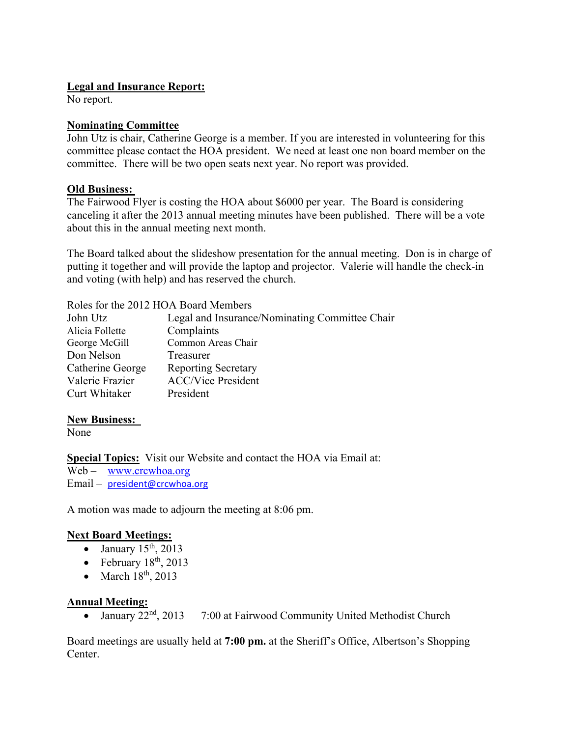## **Legal and Insurance Report:**

No report.

### **Nominating Committee**

John Utz is chair, Catherine George is a member. If you are interested in volunteering for this committee please contact the HOA president. We need at least one non board member on the committee. There will be two open seats next year. No report was provided.

### **Old Business:**

The Fairwood Flyer is costing the HOA about \$6000 per year. The Board is considering canceling it after the 2013 annual meeting minutes have been published. There will be a vote about this in the annual meeting next month.

The Board talked about the slideshow presentation for the annual meeting. Don is in charge of putting it together and will provide the laptop and projector. Valerie will handle the check-in and voting (with help) and has reserved the church.

| Roles for the 2012 HOA Board Members           |  |
|------------------------------------------------|--|
| Legal and Insurance/Nominating Committee Chair |  |
| Complaints                                     |  |
| Common Areas Chair                             |  |
| Treasurer                                      |  |
| <b>Reporting Secretary</b>                     |  |
| <b>ACC/Vice President</b>                      |  |
| President                                      |  |
|                                                |  |

## **New Business:**

None

**Special Topics:** Visit our Website and contact the HOA via Email at:

Web – www.crcwhoa.org

Email – president@crcwhoa.org

A motion was made to adjourn the meeting at 8:06 pm.

## **Next Board Meetings:**

- $\bullet$  January 15<sup>th</sup>, 2013
- February  $18<sup>th</sup>$ , 2013
- March  $18<sup>th</sup>$ , 2013

## **Annual Meeting:**

• January  $22<sup>nd</sup>$ ,  $2013$  7:00 at Fairwood Community United Methodist Church

Board meetings are usually held at **7:00 pm.** at the Sheriff's Office, Albertson's Shopping Center.